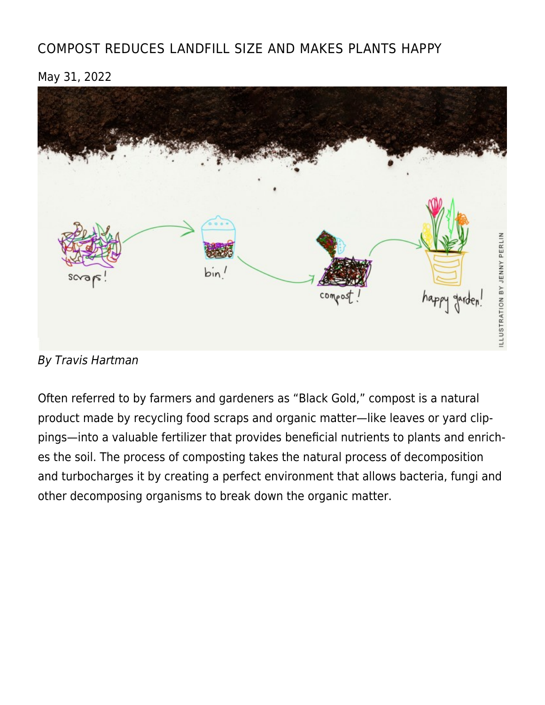# [COMPOST REDUCES LANDFILL SIZE AND MAKES PLANTS HAPPY](https://linewaitersgazette.com/2022/05/31/compost-reduces-landfill-size-and-makes-plants-happy/)

May 31, 2022



By Travis Hartman

Often referred to by farmers and gardeners as "Black Gold," compost is a natural product made by recycling food scraps and organic matter—like leaves or yard clippings—into a valuable fertilizer that provides beneficial nutrients to plants and enriches the soil. The process of composting takes the natural process of decomposition and turbocharges it by creating a perfect environment that allows bacteria, fungi and other decomposing organisms to break down the organic matter.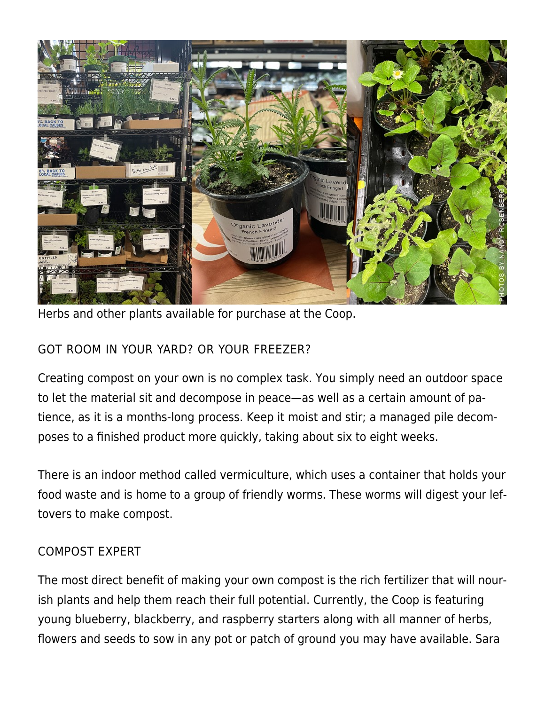

Herbs and other plants available for purchase at the Coop.

#### GOT ROOM IN YOUR YARD? OR YOUR FREEZER?

Creating compost on your own is no complex task. You simply need an outdoor space to let the material sit and decompose in peace—as well as a certain amount of patience, as it is a months-long process. Keep it moist and stir; a managed pile decomposes to a finished product more quickly, taking about six to eight weeks.

There is an indoor method called vermiculture, which uses a container that holds your food waste and is home to a group of friendly worms. These worms will digest your leftovers to make compost.

#### COMPOST EXPERT

The most direct benefit of making your own compost is the rich fertilizer that will nourish plants and help them reach their full potential. Currently, the Coop is featuring young blueberry, blackberry, and raspberry starters along with all manner of herbs, flowers and seeds to sow in any pot or patch of ground you may have available. Sara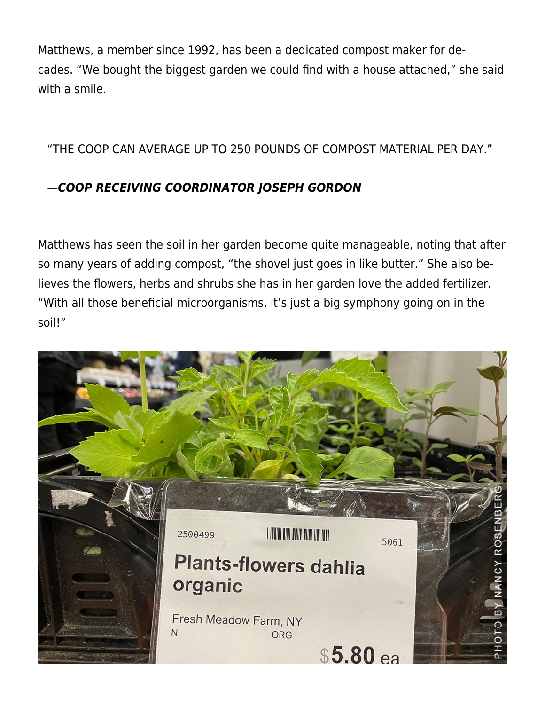Matthews, a member since 1992, has been a dedicated compost maker for decades. "We bought the biggest garden we could find with a house attached," she said with a smile.

"THE COOP CAN AVERAGE UP TO 250 POUNDS OF COMPOST MATERIAL PER DAY."

# —*COOP RECEIVING COORDINATOR JOSEPH GORDON*

Matthews has seen the soil in her garden become quite manageable, noting that after so many years of adding compost, "the shovel just goes in like butter." She also believes the flowers, herbs and shrubs she has in her garden love the added fertilizer. "With all those beneficial microorganisms, it's just a big symphony going on in the soil!"

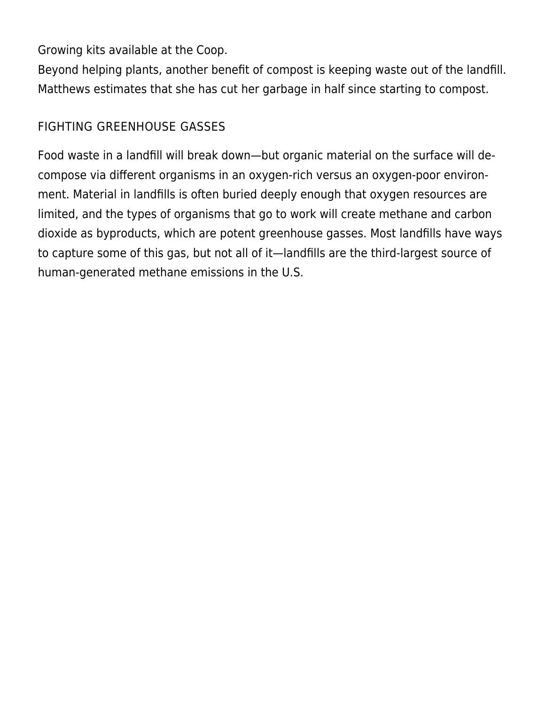Growing kits available at the Coop.

Beyond helping plants, another benefit of compost is keeping waste out of the landfill. Matthews estimates that she has cut her garbage in half since starting to compost.

## FIGHTING GREENHOUSE GASSES

Food waste in a landfill will break down—but organic material on the surface will decompose via different organisms in an oxygen-rich versus an oxygen-poor environment. Material in landfills is often buried deeply enough that oxygen resources are limited, and the types of organisms that go to work will create methane and carbon dioxide as byproducts, which are potent greenhouse gasses. Most landfills have ways to capture some of this gas, but not all of it—landfills are the third-largest source of human-generated methane emissions in the U.S.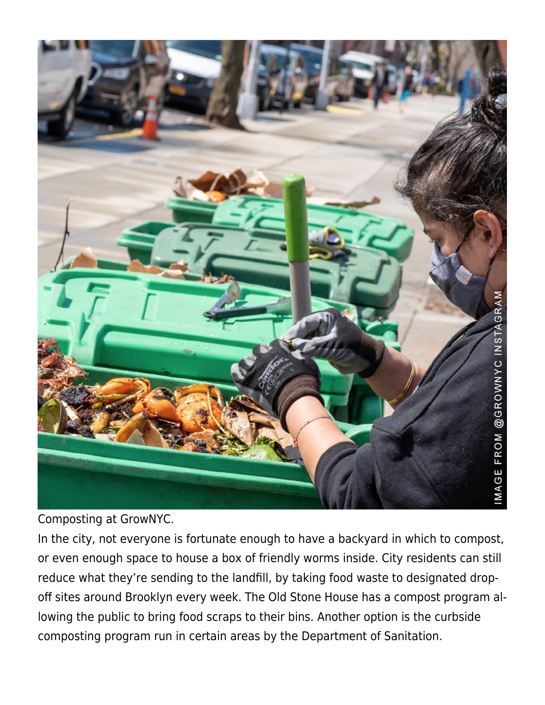

Composting at GrowNYC.

In the city, not everyone is fortunate enough to have a backyard in which to compost, or even enough space to house a box of friendly worms inside. City residents can still reduce what they're sending to the landfill, by taking food waste to designated dropoff sites around Brooklyn every week. The Old Stone House has a compost program allowing the public to bring food scraps to their bins. Another option is the curbside composting program run in certain areas by the Department of Sanitation.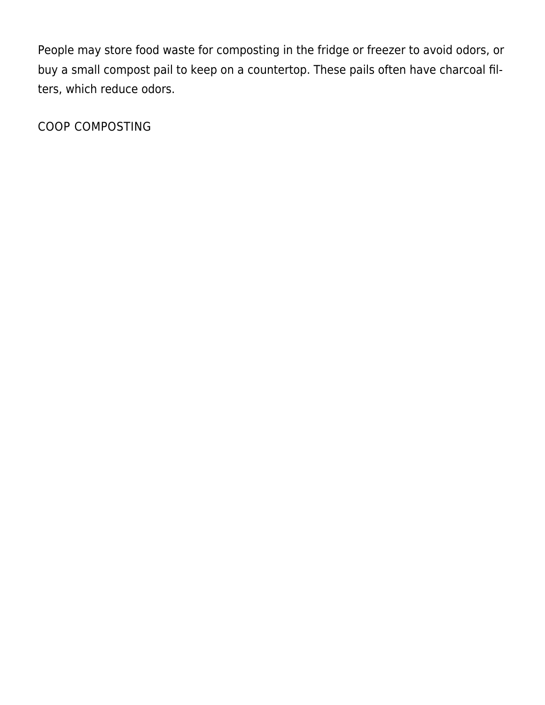People may store food waste for composting in the fridge or freezer to avoid odors, or buy a small compost pail to keep on a countertop. These pails often have charcoal filters, which reduce odors.

COOP COMPOSTING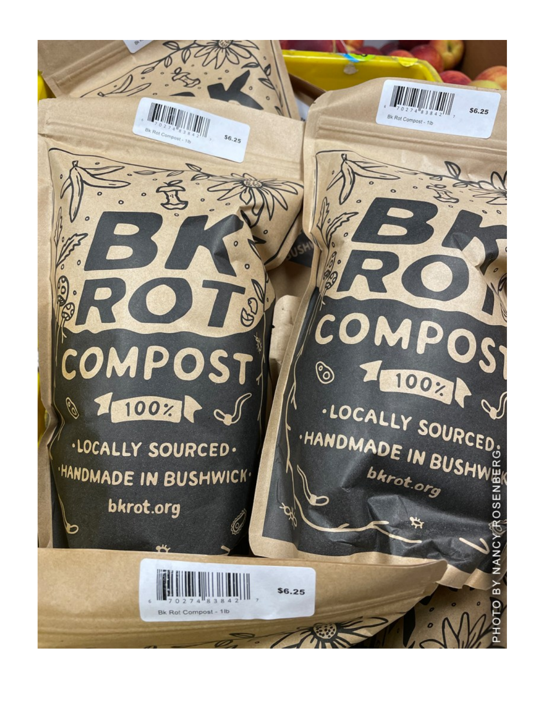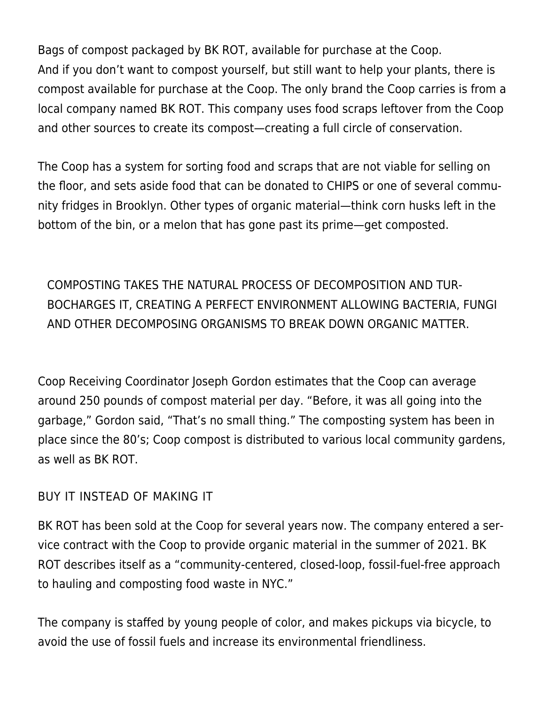Bags of compost packaged by BK ROT, available for purchase at the Coop. And if you don't want to compost yourself, but still want to help your plants, there is compost available for purchase at the Coop. The only brand the Coop carries is from a local company named BK ROT. This company uses food scraps leftover from the Coop and other sources to create its compost—creating a full circle of conservation.

The Coop has a system for sorting food and scraps that are not viable for selling on the floor, and sets aside food that can be donated to CHIPS or one of several community fridges in Brooklyn. Other types of organic material—think corn husks left in the bottom of the bin, or a melon that has gone past its prime—get composted.

COMPOSTING TAKES THE NATURAL PROCESS OF DECOMPOSITION AND TUR-BOCHARGES IT, CREATING A PERFECT ENVIRONMENT ALLOWING BACTERIA, FUNGI AND OTHER DECOMPOSING ORGANISMS TO BREAK DOWN ORGANIC MATTER.

Coop Receiving Coordinator Joseph Gordon estimates that the Coop can average around 250 pounds of compost material per day. "Before, it was all going into the garbage," Gordon said, "That's no small thing." The composting system has been in place since the 80's; Coop compost is distributed to various local community gardens, as well as BK ROT.

#### BUY IT INSTEAD OF MAKING IT

[BK ROT](https://www.youtube.com/watch?v=zT3f6nQWEAU) has been sold at the Coop for several years now. The company entered a service contract with the Coop to provide organic material in the summer of 2021. BK ROT describes itself as a "community-centered, closed-loop, fossil-fuel-free approach to hauling and composting food waste in NYC."

The company is staffed by young people of color, and makes pickups via bicycle, to avoid the use of fossil fuels and increase its environmental friendliness.